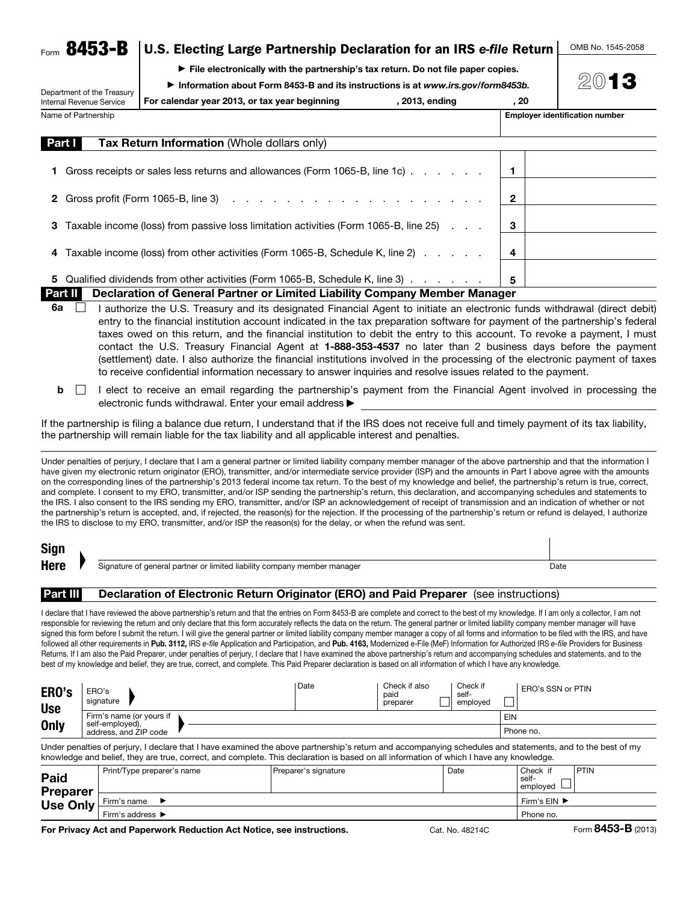|  | $_{\text{Form}}$ 8453-B   U.S. Electing Large Partnership Declaration for an IRS e-file Return $\perp$ OMB No |  |
|--|---------------------------------------------------------------------------------------------------------------|--|
|  |                                                                                                               |  |

 $\blacktriangleright$  File electronically with the partnership's tax return. Do not file paper copies.

▶ Information about Form 8453-B and its instructions is at *www.irs.gov/form8453b.*

Department of the Treasury Internal Revenue Service For calendar year 2013, or tax year beginning for calendar year 2013, ending and in the set of the sequence of

Name of Partnership **Employer identification number**  $\blacksquare$  **Employer identification number** 

1545-2058

2013

| Part I<br><b>Tax Return Information (Whole dollars only)</b>                            |              |
|-----------------------------------------------------------------------------------------|--------------|
| 1 Gross receipts or sales less returns and allowances (Form 1065-B, line 1c)            |              |
|                                                                                         | $\mathbf{2}$ |
| 3 Taxable income (loss) from passive loss limitation activities (Form 1065-B, line 25)  | 3            |
| 4 Taxable income (loss) from other activities (Form 1065-B, Schedule K, line 2)         | 4            |
| 5 Qualified dividends from other activities (Form 1065-B, Schedule K, line 3)           | 5            |
| Part II I<br>Declaration of General Partner or Limited Liability Company Member Manager |              |

- 6a  $\Box$  I authorize the U.S. Treasury and its designated Financial Agent to initiate an electronic funds withdrawal (direct debit) entry to the financial institution account indicated in the tax preparation software for payment of the partnership's federal taxes owed on this return, and the financial institution to debit the entry to this account. To revoke a payment, I must contact the U.S. Treasury Financial Agent at 1-888-353-4537 no later than 2 business days before the payment (settlement) date. I also authorize the financial institutions involved in the processing of the electronic payment of taxes to receive confidential information necessary to answer inquiries and resolve issues related to the payment.
- b I elect to receive an email regarding the partnership's payment from the Financial Agent involved in processing the electronic funds withdrawal. Enter your email address ▶

If the partnership is filing a balance due return, I understand that if the IRS does not receive full and timely payment of its tax liability, the partnership will remain liable for the tax liability and all applicable interest and penalties.

Under penalties of perjury, I declare that I am a general partner or limited liability company member manager of the above partnership and that the information I have given my electronic return originator (ERO), transmitter, and/or intermediate service provider (ISP) and the amounts in Part I above agree with the amounts on the corresponding lines of the partnership's 2013 federal income tax return. To the best of my knowledge and belief, the partnership's return is true, correct, and complete. I consent to my ERO, transmitter, and/or ISP sending the partnership's return, this declaration, and accompanying schedules and statements to the IRS. I also consent to the IRS sending my ERO, transmitter, and/or ISP an acknowledgement of receipt of transmission and an indication of whether or not the partnership's return is accepted, and, if rejected, the reason(s) for the rejection. If the processing of the partnership's return or refund is delayed, I authorize the IRS to disclose to my ERO, transmitter, and/or ISP the reason(s) for the delay, or when the refund was sent.

| <b>Sign</b> |                                                                          |      |
|-------------|--------------------------------------------------------------------------|------|
| Here        | Signature of general partner or limited liability company member manager | Date |
|             |                                                                          |      |

### **Part III** Declaration of Electronic Return Originator (ERO) and Paid Preparer (see instructions)

I declare that I have reviewed the above partnership's return and that the entries on Form 8453-B are complete and correct to the best of my knowledge. If I am only a collector, I am not responsible for reviewing the return and only declare that this form accurately reflects the data on the return. The general partner or limited liability company member manager will have signed this form before I submit the return. I will give the general partner or limited liability company member manager a copy of all forms and information to be filed with the IRS, and have followed all other requirements in Pub. 3112, IRS *e-file* Application and Participation, and Pub. 4163, Modernized e-File (MeF) Information for Authorized IRS *e-file* Providers for Business Returns. If I am also the Paid Preparer, under penalties of perjury, I declare that I have examined the above partnership's return and accompanying schedules and statements, and to the best of my knowledge and belief, they are true, correct, and complete. This Paid Preparer declaration is based on all information of which I have any knowledge.

| ERO's<br><b>Use</b> | ERO's<br>signature                       | 'Date | Check if also<br>paid<br>preparer | Check if<br>self-<br>emploved | ERO's SSN or PTIN |
|---------------------|------------------------------------------|-------|-----------------------------------|-------------------------------|-------------------|
|                     | Firm's name (or yours if                 |       |                                   |                               | <b>EIN</b>        |
| <b>Only</b>         | self-employed),<br>address, and ZIP code |       |                                   |                               | Phone no.         |
|                     |                                          |       |                                   |                               |                   |

Under penalties of perjury, I declare that I have examined the above partnership's return and accompanying schedules and statements, and to the best of my knowledge and belief, they are true, correct, and complete. This declaration is based on all information of which I have any knowledge.

| Paid<br><b>Preparer</b> | Print/Type preparer's name | Preparer's signature               | Date | Check if<br>self-<br>____<br>emploved | <b>PTIN</b> |
|-------------------------|----------------------------|------------------------------------|------|---------------------------------------|-------------|
| <b>Use Only</b>         | Firm's name                | Firm's $EIN$ $\blacktriangleright$ |      |                                       |             |
|                         | Firm's address ▶           |                                    |      | Phone no.                             |             |
|                         |                            |                                    |      |                                       |             |

For Privacy Act and Paperwork Reduction Act Notice, see instructions. Cat. No. 48214C Form 8453-B (2013)